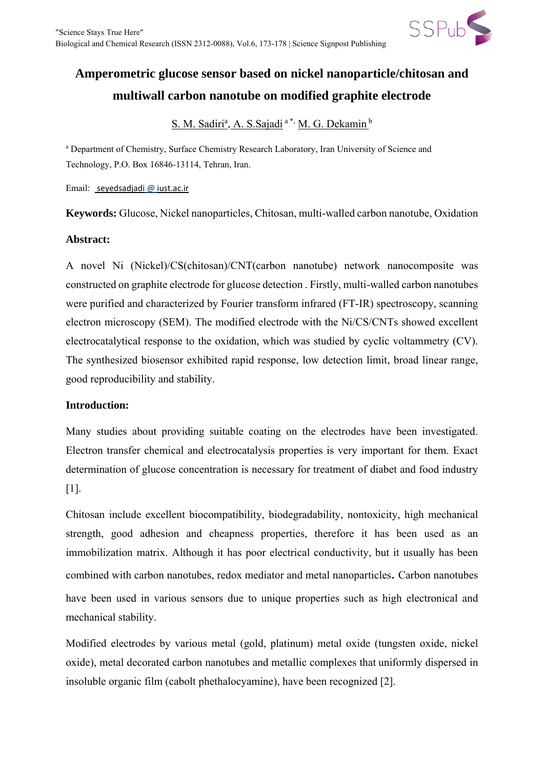

# **Amperometric glucose sensor based on nickel nanoparticle/chitosan and multiwall carbon nanotube on modified graphite electrode**

S. M. Sadiri<sup>a</sup>, A. S.Sajadi<sup>a\*,</sup> M. G. Dekamin<sup>b</sup>

a Department of Chemistry, Surface Chemistry Research Laboratory, Iran University of Science and Technology, P.O. Box 16846-13114, Tehran, Iran.

Email: seyedsadjadi @ iust.ac.ir

**Keywords:** Glucose, Nickel nanoparticles, Chitosan, multi-walled carbon nanotube, Oxidation

# **Abstract:**

A novel Ni (Nickel)/CS(chitosan)/CNT(carbon nanotube) network nanocomposite was constructed on graphite electrode for glucose detection . Firstly, multi-walled carbon nanotubes were purified and characterized by Fourier transform infrared (FT-IR) spectroscopy, scanning electron microscopy (SEM). The modified electrode with the Ni/CS/CNTs showed excellent electrocatalytical response to the oxidation, which was studied by cyclic voltammetry (CV). The synthesized biosensor exhibited rapid response, low detection limit, broad linear range, good reproducibility and stability.

### **Introduction:**

Many studies about providing suitable coating on the electrodes have been investigated. Electron transfer chemical and electrocatalysis properties is very important for them. Exact determination of glucose concentration is necessary for treatment of diabet and food industry [1].

Chitosan include excellent biocompatibility, biodegradability, nontoxicity, high mechanical strength, good adhesion and cheapness properties, therefore it has been used as an immobilization matrix. Although it has poor electrical conductivity, but it usually has been combined with carbon nanotubes, redox mediator and metal nanoparticles. Carbon nanotubes have been used in various sensors due to unique properties such as high electronical and mechanical stability.

Modified electrodes by various metal (gold, platinum) metal oxide (tungsten oxide, nickel oxide), metal decorated carbon nanotubes and metallic complexes that uniformly dispersed in insoluble organic film (cabolt phethalocyamine), have been recognized [2].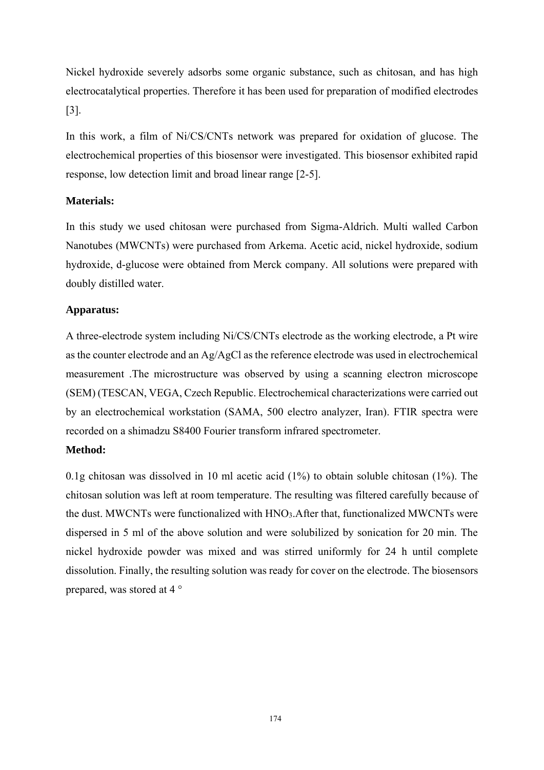Nickel hydroxide severely adsorbs some organic substance, such as chitosan, and has high electrocatalytical properties. Therefore it has been used for preparation of modified electrodes [3].

In this work, a film of Ni/CS/CNTs network was prepared for oxidation of glucose. The electrochemical properties of this biosensor were investigated. This biosensor exhibited rapid response, low detection limit and broad linear range [2-5].

# **Materials:**

In this study we used chitosan were purchased from Sigma-Aldrich. Multi walled Carbon Nanotubes (MWCNTs) were purchased from Arkema. Acetic acid, nickel hydroxide, sodium hydroxide, d-glucose were obtained from Merck company. All solutions were prepared with doubly distilled water.

# **Apparatus:**

A three-electrode system including Ni/CS/CNTs electrode as the working electrode, a Pt wire as the counter electrode and an Ag/AgCl as the reference electrode was used in electrochemical measurement .The microstructure was observed by using a scanning electron microscope (SEM) (TESCAN, VEGA, Czech Republic. Electrochemical characterizations were carried out by an electrochemical workstation (SAMA, 500 electro analyzer, Iran). FTIR spectra were recorded on a shimadzu S8400 Fourier transform infrared spectrometer.

# **Method:**

0.1g chitosan was dissolved in 10 ml acetic acid (1%) to obtain soluble chitosan (1%). The chitosan solution was left at room temperature. The resulting was filtered carefully because of the dust. MWCNTs were functionalized with HNO3.After that, functionalized MWCNTs were dispersed in 5 ml of the above solution and were solubilized by sonication for 20 min. The nickel hydroxide powder was mixed and was stirred uniformly for 24 h until complete dissolution. Finally, the resulting solution was ready for cover on the electrode. The biosensors prepared, was stored at 4 °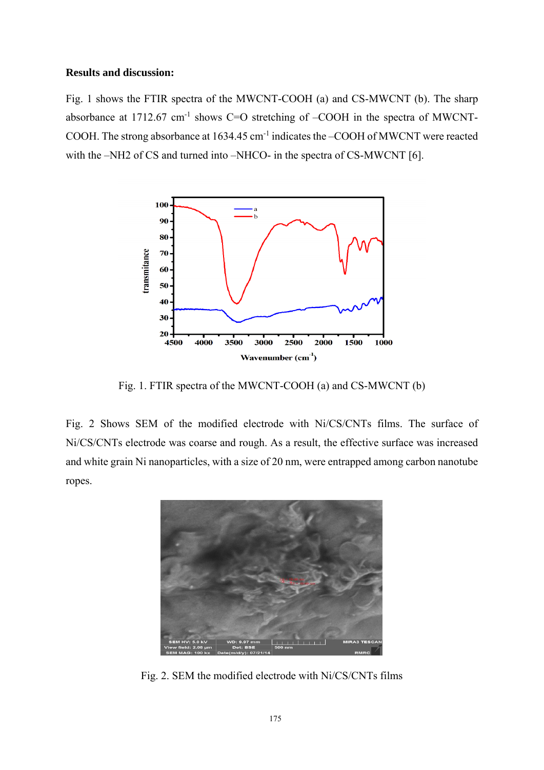#### **Results and discussion:**

Fig. 1 shows the FTIR spectra of the MWCNT-COOH (a) and CS-MWCNT (b). The sharp absorbance at  $1712.67$  cm<sup>-1</sup> shows C=O stretching of  $-COOH$  in the spectra of MWCNT-COOH. The strong absorbance at 1634.45 cm-1 indicates the –COOH of MWCNT were reacted with the –NH2 of CS and turned into –NHCO- in the spectra of CS-MWCNT [6].



Fig. 1. FTIR spectra of the MWCNT-COOH (a) and CS-MWCNT (b)

Fig. 2 Shows SEM of the modified electrode with Ni/CS/CNTs films. The surface of Ni/CS/CNTs electrode was coarse and rough. As a result, the effective surface was increased and white grain Ni nanoparticles, with a size of 20 nm, were entrapped among carbon nanotube ropes.



Fig. 2. SEM the modified electrode with Ni/CS/CNTs films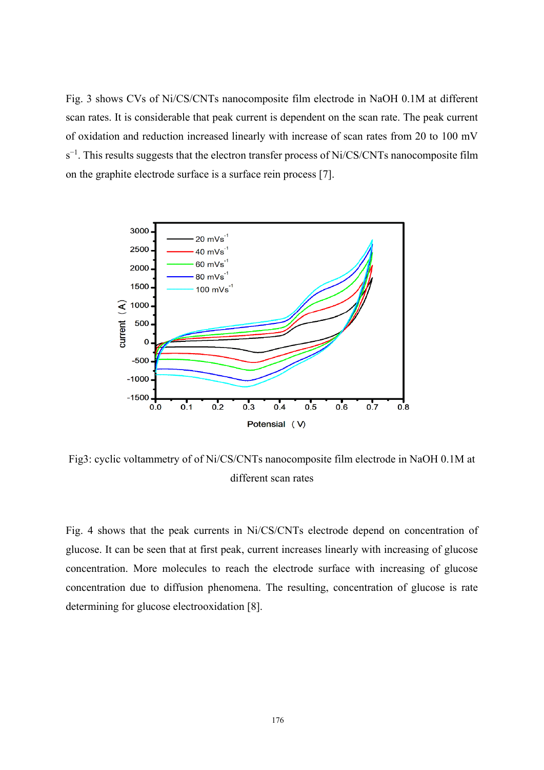Fig. 3 shows CVs of Ni/CS/CNTs nanocomposite film electrode in NaOH 0.1M at different scan rates. It is considerable that peak current is dependent on the scan rate. The peak current of oxidation and reduction increased linearly with increase of scan rates from 20 to 100 mV s<sup>-1</sup>. This results suggests that the electron transfer process of Ni/CS/CNTs nanocomposite film on the graphite electrode surface is a surface rein process [7].



Fig3: cyclic voltammetry of of Ni/CS/CNTs nanocomposite film electrode in NaOH 0.1M at different scan rates

Fig. 4 shows that the peak currents in Ni/CS/CNTs electrode depend on concentration of glucose. It can be seen that at first peak, current increases linearly with increasing of glucose concentration. More molecules to reach the electrode surface with increasing of glucose concentration due to diffusion phenomena. The resulting, concentration of glucose is rate determining for glucose electrooxidation [8].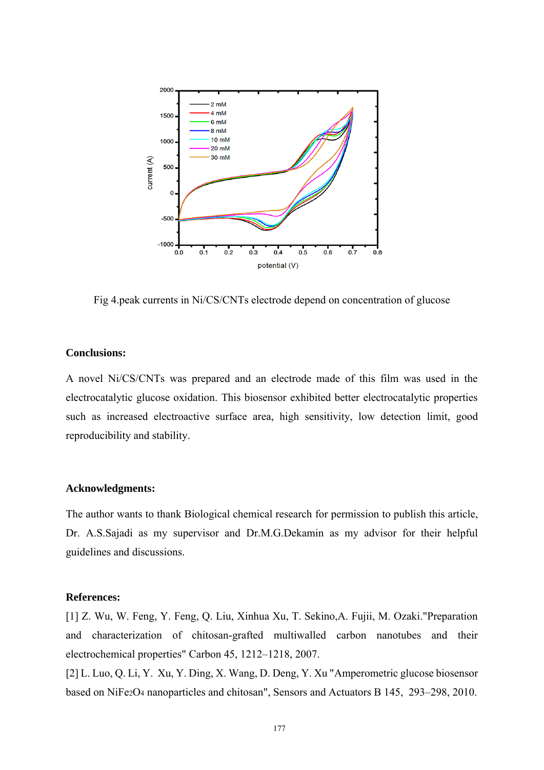

Fig 4.peak currents in Ni/CS/CNTs electrode depend on concentration of glucose

### **Conclusions:**

A novel Ni/CS/CNTs was prepared and an electrode made of this film was used in the electrocatalytic glucose oxidation. This biosensor exhibited better electrocatalytic properties such as increased electroactive surface area, high sensitivity, low detection limit, good reproducibility and stability.

#### **Acknowledgments:**

The author wants to thank Biological chemical research for permission to publish this article, Dr. A.S.Sajadi as my supervisor and Dr.M.G.Dekamin as my advisor for their helpful guidelines and discussions.

#### **References:**

[1] Z. Wu, W. Feng, Y. Feng, Q. Liu, Xinhua Xu, T. Sekino,A. Fujii, M. Ozaki."Preparation and characterization of chitosan-grafted multiwalled carbon nanotubes and their electrochemical properties" Carbon 45, 1212–1218, 2007.

[2] L. Luo, Q. Li, Y. Xu, Y. Ding, X. Wang, D. Deng, Y. Xu "Amperometric glucose biosensor based on NiFe2O<sup>4</sup> nanoparticles and chitosan", Sensors and Actuators B 145, 293–298, 2010.